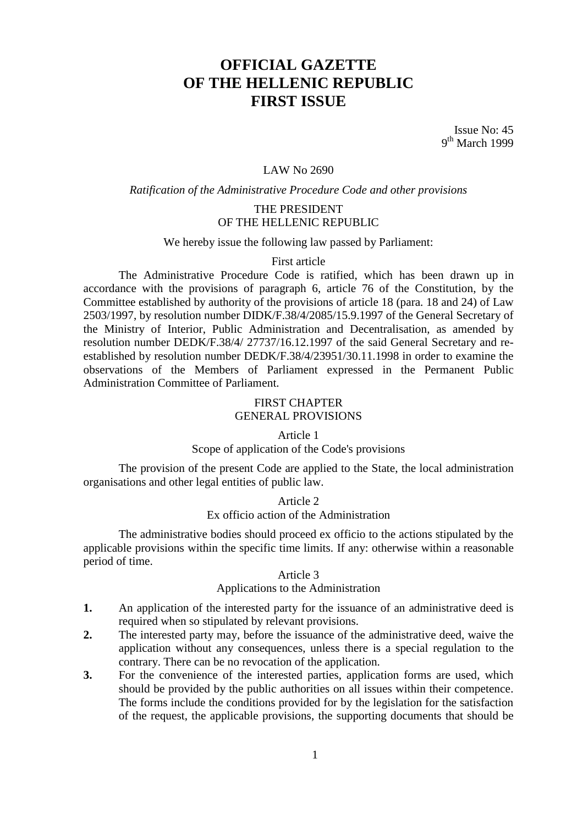# **OFFICIAL GAZETTE OF THE HELLENIC REPUBLIC FIRST ISSUE**

Issue No: 45 9<sup>th</sup> March 1999

### LAW No 2690

#### *Ratification of the Administrative Procedure Code and other provisions*

### THE PRESIDENT OF THE HELLENIC REPUBLIC

We hereby issue the following law passed by Parliament:

#### First article

The Administrative Procedure Code is ratified, which has been drawn up in accordance with the provisions of paragraph 6, article 76 of the Constitution, by the Committee established by authority of the provisions of article 18 (para. 18 and 24) of Law 2503/1997, by resolution number DIDK/F.38/4/2085/15.9.1997 of the General Secretary of the Ministry of Interior, Public Administration and Decentralisation, as amended by resolution number DEDK/F.38/4/ 27737/16.12.1997 of the said General Secretary and reestablished by resolution number DEDK/F.38/4/23951/30.11.1998 in order to examine the observations of the Members of Parliament expressed in the Permanent Public Administration Committee of Parliament.

### FIRST CHAPTER GENERAL PROVISIONS

#### Article 1

### Scope of application of the Code's provisions

The provision of the present Code are applied to the State, the local administration organisations and other legal entities of public law.

### Article 2

### Ex officio action of the Administration

The administrative bodies should proceed ex officio to the actions stipulated by the applicable provisions within the specific time limits. If any: otherwise within a reasonable period of time.

#### Article 3

#### Applications to the Administration

- **1.** An application of the interested party for the issuance of an administrative deed is required when so stipulated by relevant provisions.
- **2.** The interested party may, before the issuance of the administrative deed, waive the application without any consequences, unless there is a special regulation to the contrary. There can be no revocation of the application.
- **3.** For the convenience of the interested parties, application forms are used, which should be provided by the public authorities on all issues within their competence. The forms include the conditions provided for by the legislation for the satisfaction of the request, the applicable provisions, the supporting documents that should be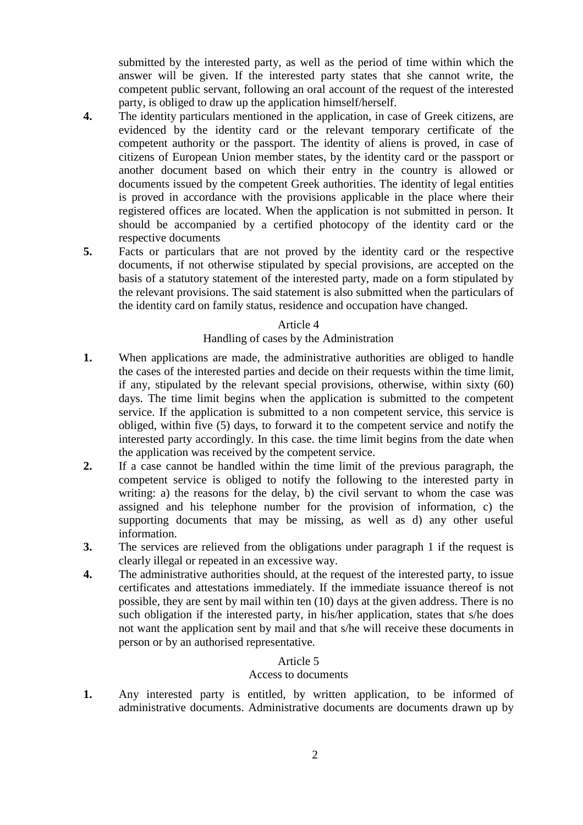submitted by the interested party, as well as the period of time within which the answer will be given. If the interested party states that she cannot write, the competent public servant, following an oral account of the request of the interested party, is obliged to draw up the application himself/herself.

- **4.** The identity particulars mentioned in the application, in case of Greek citizens, are evidenced by the identity card or the relevant temporary certificate of the competent authority or the passport. The identity of aliens is proved, in case of citizens of European Union member states, by the identity card or the passport or another document based on which their entry in the country is allowed or documents issued by the competent Greek authorities. The identity of legal entities is proved in accordance with the provisions applicable in the place where their registered offices are located. When the application is not submitted in person. It should be accompanied by a certified photocopy of the identity card or the respective documents
- **5.** Facts or particulars that are not proved by the identity card or the respective documents, if not otherwise stipulated by special provisions, are accepted on the basis of a statutory statement of the interested party, made on a form stipulated by the relevant provisions. The said statement is also submitted when the particulars of the identity card on family status, residence and occupation have changed.

### Article 4

## Handling of cases by the Administration

- **1.** When applications are made, the administrative authorities are obliged to handle the cases of the interested parties and decide on their requests within the time limit, if any, stipulated by the relevant special provisions, otherwise, within sixty (60) days. The time limit begins when the application is submitted to the competent service. If the application is submitted to a non competent service, this service is obliged, within five (5) days, to forward it to the competent service and notify the interested party accordingly. In this case. the time limit begins from the date when the application was received by the competent service.
- **2.** If a case cannot be handled within the time limit of the previous paragraph, the competent service is obliged to notify the following to the interested party in writing: a) the reasons for the delay, b) the civil servant to whom the case was assigned and his telephone number for the provision of information, c) the supporting documents that may be missing, as well as d) any other useful information.
- **3.** The services are relieved from the obligations under paragraph 1 if the request is clearly illegal or repeated in an excessive way.
- **4.** The administrative authorities should, at the request of the interested party, to issue certificates and attestations immediately. If the immediate issuance thereof is not possible, they are sent by mail within ten (10) days at the given address. There is no such obligation if the interested party, in his/her application, states that s/he does not want the application sent by mail and that s/he will receive these documents in person or by an authorised representative.

# Article 5

### Access to documents

**1.** Any interested party is entitled, by written application, to be informed of administrative documents. Administrative documents are documents drawn up by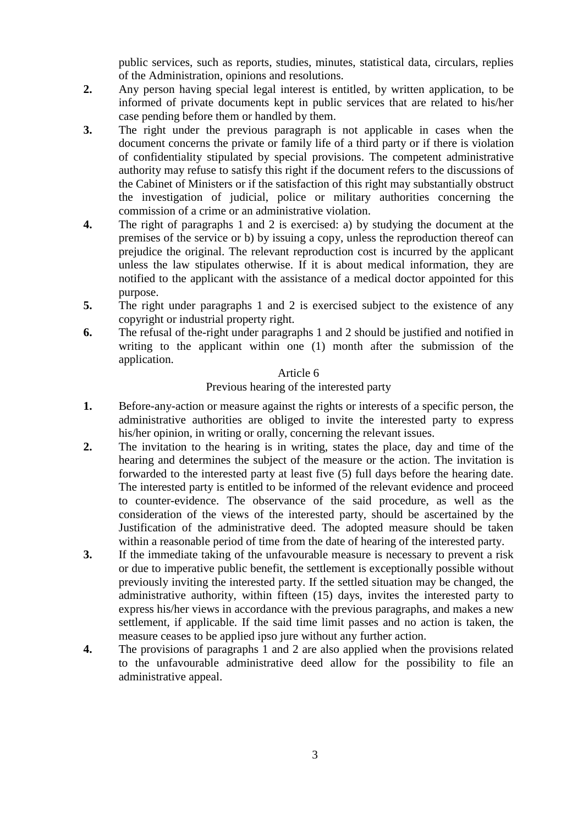public services, such as reports, studies, minutes, statistical data, circulars, replies of the Administration, opinions and resolutions.

- **2.** Any person having special legal interest is entitled, by written application, to be informed of private documents kept in public services that are related to his/her case pending before them or handled by them.
- **3.** The right under the previous paragraph is not applicable in cases when the document concerns the private or family life of a third party or if there is violation of confidentiality stipulated by special provisions. The competent administrative authority may refuse to satisfy this right if the document refers to the discussions of the Cabinet of Ministers or if the satisfaction of this right may substantially obstruct the investigation of judicial, police or military authorities concerning the commission of a crime or an administrative violation.
- **4.** The right of paragraphs 1 and 2 is exercised: a) by studying the document at the premises of the service or b) by issuing a copy, unless the reproduction thereof can prejudice the original. The relevant reproduction cost is incurred by the applicant unless the law stipulates otherwise. If it is about medical information, they are notified to the applicant with the assistance of a medical doctor appointed for this purpose.
- **5.** The right under paragraphs 1 and 2 is exercised subject to the existence of any copyright or industrial property right.
- **6.** The refusal of the-right under paragraphs 1 and 2 should be justified and notified in writing to the applicant within one (1) month after the submission of the application.

## Article 6

# Previous hearing of the interested party

- **1.** Before-any-action or measure against the rights or interests of a specific person, the administrative authorities are obliged to invite the interested party to express his/her opinion, in writing or orally, concerning the relevant issues.
- **2.** The invitation to the hearing is in writing, states the place, day and time of the hearing and determines the subject of the measure or the action. The invitation is forwarded to the interested party at least five (5) full days before the hearing date. The interested party is entitled to be informed of the relevant evidence and proceed to counter-evidence. The observance of the said procedure, as well as the consideration of the views of the interested party, should be ascertained by the Justification of the administrative deed. The adopted measure should be taken within a reasonable period of time from the date of hearing of the interested party.
- **3.** If the immediate taking of the unfavourable measure is necessary to prevent a risk or due to imperative public benefit, the settlement is exceptionally possible without previously inviting the interested party. If the settled situation may be changed, the administrative authority, within fifteen (15) days, invites the interested party to express his/her views in accordance with the previous paragraphs, and makes a new settlement, if applicable. If the said time limit passes and no action is taken, the measure ceases to be applied ipso jure without any further action.
- **4.** The provisions of paragraphs 1 and 2 are also applied when the provisions related to the unfavourable administrative deed allow for the possibility to file an administrative appeal.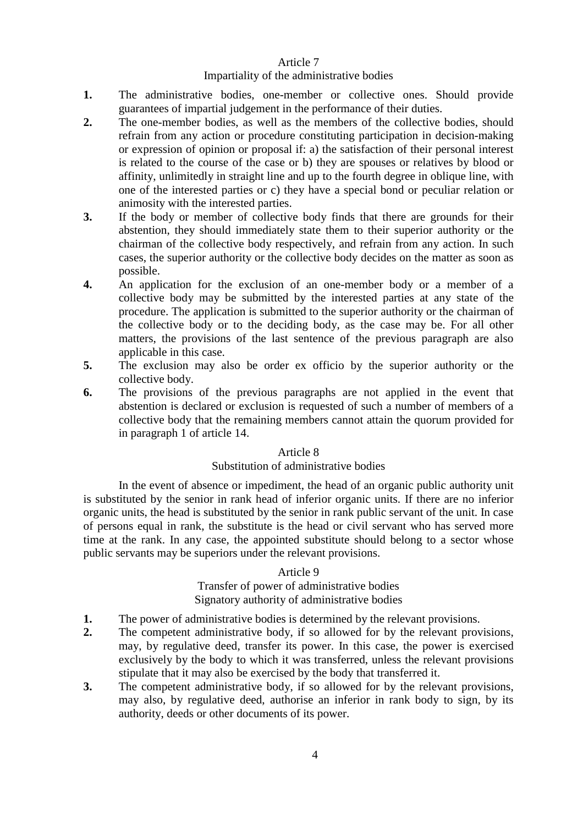### Impartiality of the administrative bodies

- **1.** The administrative bodies, one-member or collective ones. Should provide guarantees of impartial judgement in the performance of their duties.
- **2.** The one-member bodies, as well as the members of the collective bodies, should refrain from any action or procedure constituting participation in decision-making or expression of opinion or proposal if: a) the satisfaction of their personal interest is related to the course of the case or b) they are spouses or relatives by blood or affinity, unlimitedly in straight line and up to the fourth degree in oblique line, with one of the interested parties or c) they have a special bond or peculiar relation or animosity with the interested parties.
- **3.** If the body or member of collective body finds that there are grounds for their abstention, they should immediately state them to their superior authority or the chairman of the collective body respectively, and refrain from any action. In such cases, the superior authority or the collective body decides on the matter as soon as possible.
- **4.** An application for the exclusion of an one-member body or a member of a collective body may be submitted by the interested parties at any state of the procedure. The application is submitted to the superior authority or the chairman of the collective body or to the deciding body, as the case may be. For all other matters, the provisions of the last sentence of the previous paragraph are also applicable in this case.
- **5.** The exclusion may also be order ex officio by the superior authority or the collective body.
- **6.** The provisions of the previous paragraphs are not applied in the event that abstention is declared or exclusion is requested of such a number of members of a collective body that the remaining members cannot attain the quorum provided for in paragraph 1 of article 14.

## Article 8

# Substitution of administrative bodies

In the event of absence or impediment, the head of an organic public authority unit is substituted by the senior in rank head of inferior organic units. If there are no inferior organic units, the head is substituted by the senior in rank public servant of the unit. In case of persons equal in rank, the substitute is the head or civil servant who has served more time at the rank. In any case, the appointed substitute should belong to a sector whose public servants may be superiors under the relevant provisions.

### Article 9

# Transfer of power of administrative bodies Signatory authority of administrative bodies

- **1.** The power of administrative bodies is determined by the relevant provisions.
- **2.** The competent administrative body, if so allowed for by the relevant provisions, may, by regulative deed, transfer its power. In this case, the power is exercised exclusively by the body to which it was transferred, unless the relevant provisions stipulate that it may also be exercised by the body that transferred it.
- **3.** The competent administrative body, if so allowed for by the relevant provisions, may also, by regulative deed, authorise an inferior in rank body to sign, by its authority, deeds or other documents of its power.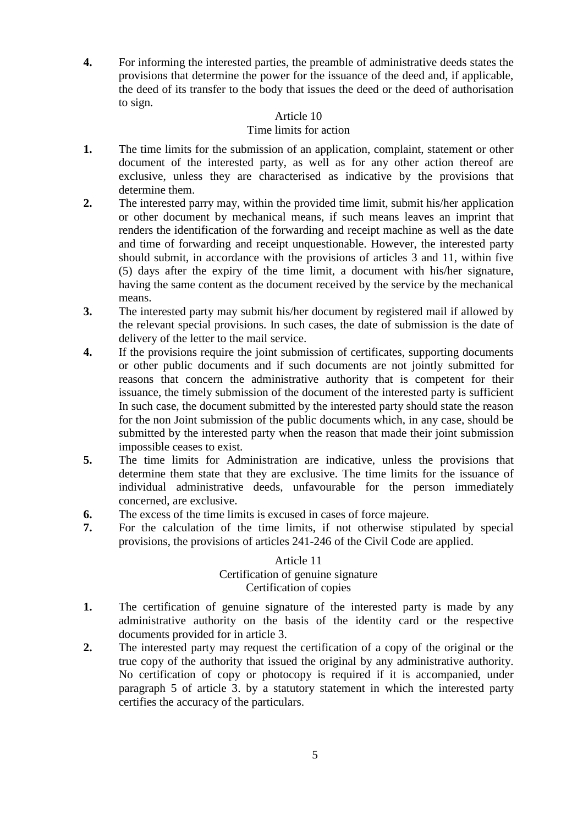**4.** For informing the interested parties, the preamble of administrative deeds states the provisions that determine the power for the issuance of the deed and, if applicable, the deed of its transfer to the body that issues the deed or the deed of authorisation to sign.

# Article 10

## Time limits for action

- **1.** The time limits for the submission of an application, complaint, statement or other document of the interested party, as well as for any other action thereof are exclusive, unless they are characterised as indicative by the provisions that determine them.
- **2.** The interested parry may, within the provided time limit, submit his/her application or other document by mechanical means, if such means leaves an imprint that renders the identification of the forwarding and receipt machine as well as the date and time of forwarding and receipt unquestionable. However, the interested party should submit, in accordance with the provisions of articles 3 and 11, within five (5) days after the expiry of the time limit, a document with his/her signature, having the same content as the document received by the service by the mechanical means.
- **3.** The interested party may submit his/her document by registered mail if allowed by the relevant special provisions. In such cases, the date of submission is the date of delivery of the letter to the mail service.
- **4.** If the provisions require the joint submission of certificates, supporting documents or other public documents and if such documents are not jointly submitted for reasons that concern the administrative authority that is competent for their issuance, the timely submission of the document of the interested party is sufficient In such case, the document submitted by the interested party should state the reason for the non Joint submission of the public documents which, in any case, should be submitted by the interested party when the reason that made their joint submission impossible ceases to exist.
- **5.** The time limits for Administration are indicative, unless the provisions that determine them state that they are exclusive. The time limits for the issuance of individual administrative deeds, unfavourable for the person immediately concerned, are exclusive.
- **6.** The excess of the time limits is excused in cases of force majeure.
- **7.** For the calculation of the time limits, if not otherwise stipulated by special provisions, the provisions of articles 241-246 of the Civil Code are applied.

# Article 11 Certification of genuine signature Certification of copies

- **1.** The certification of genuine signature of the interested party is made by any administrative authority on the basis of the identity card or the respective documents provided for in article 3.
- **2.** The interested party may request the certification of a copy of the original or the true copy of the authority that issued the original by any administrative authority. No certification of copy or photocopy is required if it is accompanied, under paragraph 5 of article 3. by a statutory statement in which the interested party certifies the accuracy of the particulars.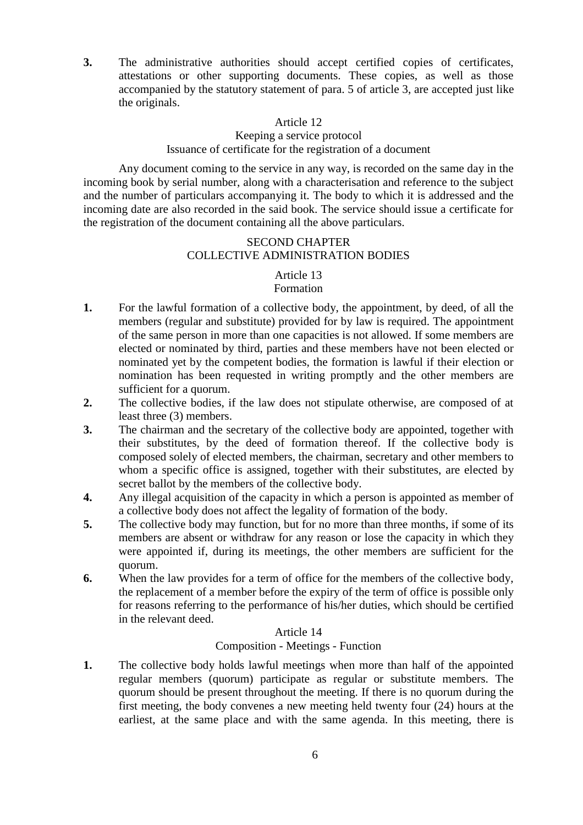**3.** The administrative authorities should accept certified copies of certificates, attestations or other supporting documents. These copies, as well as those accompanied by the statutory statement of para. 5 of article 3, are accepted just like the originals.

### Article 12

### Keeping a service protocol Issuance of certificate for the registration of a document

Any document coming to the service in any way, is recorded on the same day in the incoming book by serial number, along with a characterisation and reference to the subject and the number of particulars accompanying it. The body to which it is addressed and the incoming date are also recorded in the said book. The service should issue a certificate for the registration of the document containing all the above particulars.

### SECOND CHAPTER COLLECTIVE ADMINISTRATION BODIES

# Article 13

### Formation

- **1.** For the lawful formation of a collective body, the appointment, by deed, of all the members (regular and substitute) provided for by law is required. The appointment of the same person in more than one capacities is not allowed. If some members are elected or nominated by third, parties and these members have not been elected or nominated yet by the competent bodies, the formation is lawful if their election or nomination has been requested in writing promptly and the other members are sufficient for a quorum.
- **2.** The collective bodies, if the law does not stipulate otherwise, are composed of at least three (3) members.
- **3.** The chairman and the secretary of the collective body are appointed, together with their substitutes, by the deed of formation thereof. If the collective body is composed solely of elected members, the chairman, secretary and other members to whom a specific office is assigned, together with their substitutes, are elected by secret ballot by the members of the collective body.
- **4.** Any illegal acquisition of the capacity in which a person is appointed as member of a collective body does not affect the legality of formation of the body.
- **5.** The collective body may function, but for no more than three months, if some of its members are absent or withdraw for any reason or lose the capacity in which they were appointed if, during its meetings, the other members are sufficient for the quorum.
- **6.** When the law provides for a term of office for the members of the collective body, the replacement of a member before the expiry of the term of office is possible only for reasons referring to the performance of his/her duties, which should be certified in the relevant deed.

# Article 14

### Composition - Meetings - Function

**1.** The collective body holds lawful meetings when more than half of the appointed regular members (quorum) participate as regular or substitute members. The quorum should be present throughout the meeting. If there is no quorum during the first meeting, the body convenes a new meeting held twenty four (24) hours at the earliest, at the same place and with the same agenda. In this meeting, there is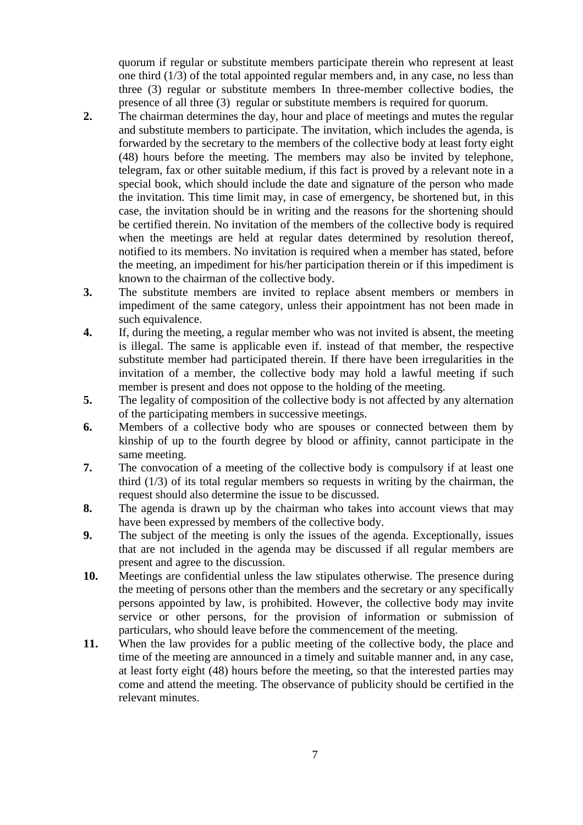quorum if regular or substitute members participate therein who represent at least one third (1/3) of the total appointed regular members and, in any case, no less than three (3) regular or substitute members In three-member collective bodies, the presence of all three (3) regular or substitute members is required for quorum.

- **2.** The chairman determines the day, hour and place of meetings and mutes the regular and substitute members to participate. The invitation, which includes the agenda, is forwarded by the secretary to the members of the collective body at least forty eight (48) hours before the meeting. The members may also be invited by telephone, telegram, fax or other suitable medium, if this fact is proved by a relevant note in a special book, which should include the date and signature of the person who made the invitation. This time limit may, in case of emergency, be shortened but, in this case, the invitation should be in writing and the reasons for the shortening should be certified therein. No invitation of the members of the collective body is required when the meetings are held at regular dates determined by resolution thereof, notified to its members. No invitation is required when a member has stated, before the meeting, an impediment for his/her participation therein or if this impediment is known to the chairman of the collective body.
- **3.** The substitute members are invited to replace absent members or members in impediment of the same category, unless their appointment has not been made in such equivalence.
- **4.** If, during the meeting, a regular member who was not invited is absent, the meeting is illegal. The same is applicable even if. instead of that member, the respective substitute member had participated therein. If there have been irregularities in the invitation of a member, the collective body may hold a lawful meeting if such member is present and does not oppose to the holding of the meeting.
- **5.** The legality of composition of the collective body is not affected by any alternation of the participating members in successive meetings.
- **6.** Members of a collective body who are spouses or connected between them by kinship of up to the fourth degree by blood or affinity, cannot participate in the same meeting.
- **7.** The convocation of a meeting of the collective body is compulsory if at least one third (1/3) of its total regular members so requests in writing by the chairman, the request should also determine the issue to be discussed.
- **8.** The agenda is drawn up by the chairman who takes into account views that may have been expressed by members of the collective body.
- **9.** The subject of the meeting is only the issues of the agenda. Exceptionally, issues that are not included in the agenda may be discussed if all regular members are present and agree to the discussion.
- **10.** Meetings are confidential unless the law stipulates otherwise. The presence during the meeting of persons other than the members and the secretary or any specifically persons appointed by law, is prohibited. However, the collective body may invite service or other persons, for the provision of information or submission of particulars, who should leave before the commencement of the meeting.
- **11.** When the law provides for a public meeting of the collective body, the place and time of the meeting are announced in a timely and suitable manner and, in any case, at least forty eight (48) hours before the meeting, so that the interested parties may come and attend the meeting. The observance of publicity should be certified in the relevant minutes.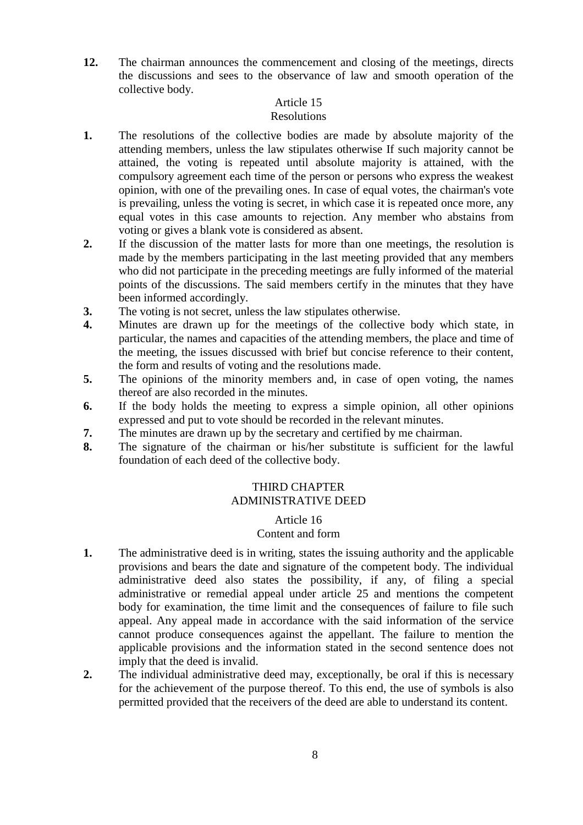**12.** The chairman announces the commencement and closing of the meetings, directs the discussions and sees to the observance of law and smooth operation of the collective body.

# Article 15

# Resolutions

- **1.** The resolutions of the collective bodies are made by absolute majority of the attending members, unless the law stipulates otherwise If such majority cannot be attained, the voting is repeated until absolute majority is attained, with the compulsory agreement each time of the person or persons who express the weakest opinion, with one of the prevailing ones. In case of equal votes, the chairman's vote is prevailing, unless the voting is secret, in which case it is repeated once more, any equal votes in this case amounts to rejection. Any member who abstains from voting or gives a blank vote is considered as absent.
- **2.** If the discussion of the matter lasts for more than one meetings, the resolution is made by the members participating in the last meeting provided that any members who did not participate in the preceding meetings are fully informed of the material points of the discussions. The said members certify in the minutes that they have been informed accordingly.
- **3.** The voting is not secret, unless the law stipulates otherwise.
- **4.** Minutes are drawn up for the meetings of the collective body which state, in particular, the names and capacities of the attending members, the place and time of the meeting, the issues discussed with brief but concise reference to their content, the form and results of voting and the resolutions made.
- **5.** The opinions of the minority members and, in case of open voting, the names thereof are also recorded in the minutes.
- **6.** If the body holds the meeting to express a simple opinion, all other opinions expressed and put to vote should be recorded in the relevant minutes.
- **7.** The minutes are drawn up by the secretary and certified by me chairman.
- **8.** The signature of the chairman or his/her substitute is sufficient for the lawful foundation of each deed of the collective body.

# THIRD CHAPTER ADMINISTRATIVE DEED

## Article 16

## Content and form

- **1.** The administrative deed is in writing, states the issuing authority and the applicable provisions and bears the date and signature of the competent body. The individual administrative deed also states the possibility, if any, of filing a special administrative or remedial appeal under article 25 and mentions the competent body for examination, the time limit and the consequences of failure to file such appeal. Any appeal made in accordance with the said information of the service cannot produce consequences against the appellant. The failure to mention the applicable provisions and the information stated in the second sentence does not imply that the deed is invalid.
- **2.** The individual administrative deed may, exceptionally, be oral if this is necessary for the achievement of the purpose thereof. To this end, the use of symbols is also permitted provided that the receivers of the deed are able to understand its content.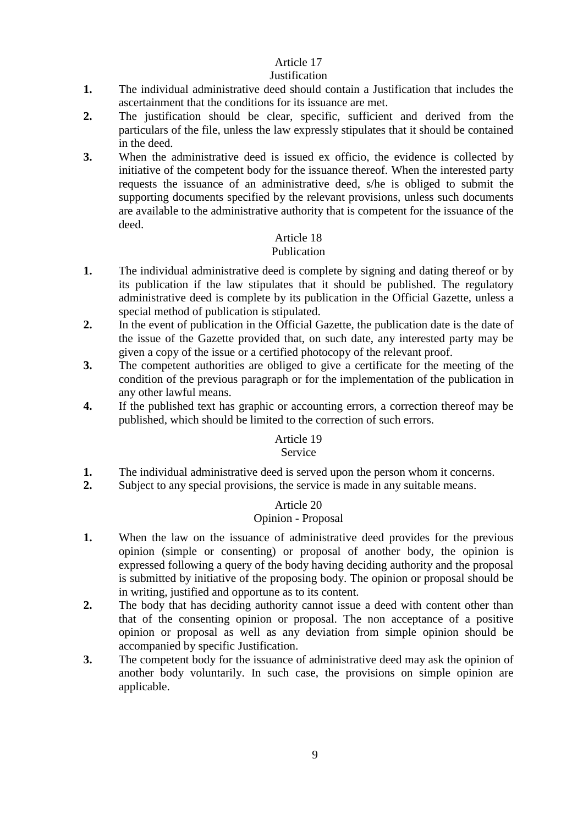# **Justification**

- **1.** The individual administrative deed should contain a Justification that includes the ascertainment that the conditions for its issuance are met.
- **2.** The justification should be clear, specific, sufficient and derived from the particulars of the file, unless the law expressly stipulates that it should be contained in the deed.
- **3.** When the administrative deed is issued ex officio, the evidence is collected by initiative of the competent body for the issuance thereof. When the interested party requests the issuance of an administrative deed, s/he is obliged to submit the supporting documents specified by the relevant provisions, unless such documents are available to the administrative authority that is competent for the issuance of the deed.

# Article 18

# Publication

- **1.** The individual administrative deed is complete by signing and dating thereof or by its publication if the law stipulates that it should be published. The regulatory administrative deed is complete by its publication in the Official Gazette, unless a special method of publication is stipulated.
- **2.** In the event of publication in the Official Gazette, the publication date is the date of the issue of the Gazette provided that, on such date, any interested party may be given a copy of the issue or a certified photocopy of the relevant proof.
- **3.** The competent authorities are obliged to give a certificate for the meeting of the condition of the previous paragraph or for the implementation of the publication in any other lawful means.
- **4.** If the published text has graphic or accounting errors, a correction thereof may be published, which should be limited to the correction of such errors.

# Article 19

# Service

- **1.** The individual administrative deed is served upon the person whom it concerns.
- **2.** Subject to any special provisions, the service is made in any suitable means.

# Article 20

# Opinion - Proposal

- **1.** When the law on the issuance of administrative deed provides for the previous opinion (simple or consenting) or proposal of another body, the opinion is expressed following a query of the body having deciding authority and the proposal is submitted by initiative of the proposing body. The opinion or proposal should be in writing, justified and opportune as to its content.
- **2.** The body that has deciding authority cannot issue a deed with content other than that of the consenting opinion or proposal. The non acceptance of a positive opinion or proposal as well as any deviation from simple opinion should be accompanied by specific Justification.
- **3.** The competent body for the issuance of administrative deed may ask the opinion of another body voluntarily. In such case, the provisions on simple opinion are applicable.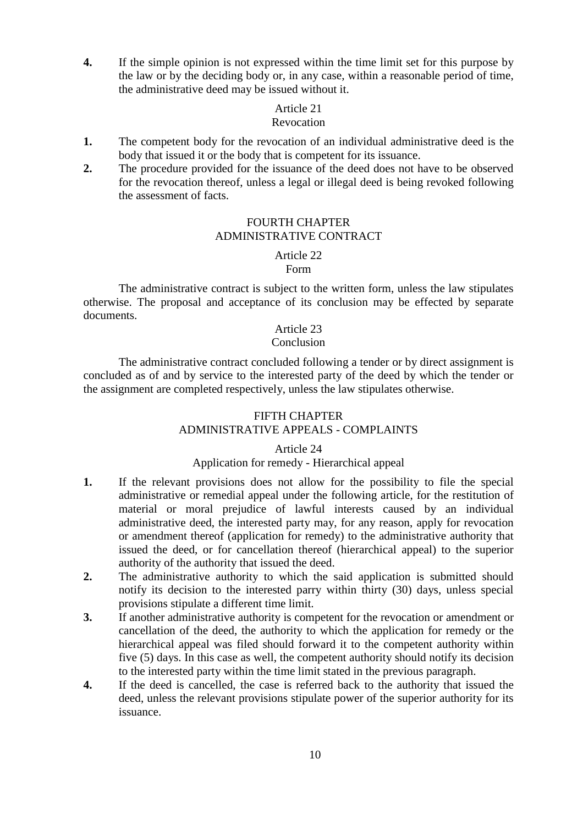**4.** If the simple opinion is not expressed within the time limit set for this purpose by the law or by the deciding body or, in any case, within a reasonable period of time, the administrative deed may be issued without it.

### Article 21

### Revocation

- **1.** The competent body for the revocation of an individual administrative deed is the body that issued it or the body that is competent for its issuance.
- **2.** The procedure provided for the issuance of the deed does not have to be observed for the revocation thereof, unless a legal or illegal deed is being revoked following the assessment of facts.

# FOURTH CHAPTER ADMINISTRATIVE CONTRACT

### Article 22

Form

The administrative contract is subject to the written form, unless the law stipulates otherwise. The proposal and acceptance of its conclusion may be effected by separate documents.

# Article 23

### Conclusion

The administrative contract concluded following a tender or by direct assignment is concluded as of and by service to the interested party of the deed by which the tender or the assignment are completed respectively, unless the law stipulates otherwise.

# FIFTH CHAPTER ADMINISTRATIVE APPEALS - COMPLAINTS

### Article 24

# Application for remedy - Hierarchical appeal

- **1.** If the relevant provisions does not allow for the possibility to file the special administrative or remedial appeal under the following article, for the restitution of material or moral prejudice of lawful interests caused by an individual administrative deed, the interested party may, for any reason, apply for revocation or amendment thereof (application for remedy) to the administrative authority that issued the deed, or for cancellation thereof (hierarchical appeal) to the superior authority of the authority that issued the deed.
- **2.** The administrative authority to which the said application is submitted should notify its decision to the interested parry within thirty (30) days, unless special provisions stipulate a different time limit.
- **3.** If another administrative authority is competent for the revocation or amendment or cancellation of the deed, the authority to which the application for remedy or the hierarchical appeal was filed should forward it to the competent authority within five (5) days. In this case as well, the competent authority should notify its decision to the interested party within the time limit stated in the previous paragraph.
- **4.** If the deed is cancelled, the case is referred back to the authority that issued the deed, unless the relevant provisions stipulate power of the superior authority for its issuance.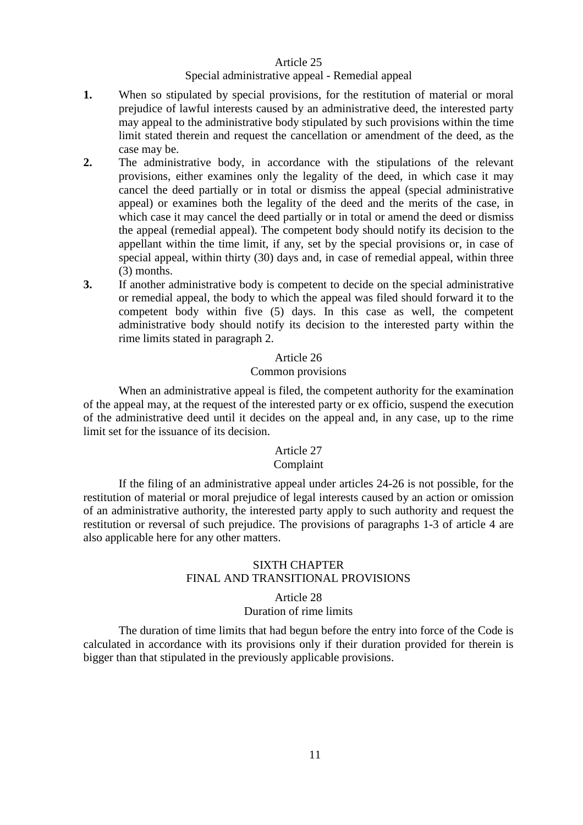#### Special administrative appeal - Remedial appeal

- **1.** When so stipulated by special provisions, for the restitution of material or moral prejudice of lawful interests caused by an administrative deed, the interested party may appeal to the administrative body stipulated by such provisions within the time limit stated therein and request the cancellation or amendment of the deed, as the case may be.
- **2.** The administrative body, in accordance with the stipulations of the relevant provisions, either examines only the legality of the deed, in which case it may cancel the deed partially or in total or dismiss the appeal (special administrative appeal) or examines both the legality of the deed and the merits of the case, in which case it may cancel the deed partially or in total or amend the deed or dismiss the appeal (remedial appeal). The competent body should notify its decision to the appellant within the time limit, if any, set by the special provisions or, in case of special appeal, within thirty (30) days and, in case of remedial appeal, within three (3) months.
- **3.** If another administrative body is competent to decide on the special administrative or remedial appeal, the body to which the appeal was filed should forward it to the competent body within five (5) days. In this case as well, the competent administrative body should notify its decision to the interested party within the rime limits stated in paragraph 2.

### Article 26

### Common provisions

When an administrative appeal is filed, the competent authority for the examination of the appeal may, at the request of the interested party or ex officio, suspend the execution of the administrative deed until it decides on the appeal and, in any case, up to the rime limit set for the issuance of its decision.

# Article 27

# Complaint

If the filing of an administrative appeal under articles 24-26 is not possible, for the restitution of material or moral prejudice of legal interests caused by an action or omission of an administrative authority, the interested party apply to such authority and request the restitution or reversal of such prejudice. The provisions of paragraphs 1-3 of article 4 are also applicable here for any other matters.

# SIXTH CHAPTER FINAL AND TRANSITIONAL PROVISIONS

### Article 28 Duration of rime limits

The duration of time limits that had begun before the entry into force of the Code is calculated in accordance with its provisions only if their duration provided for therein is bigger than that stipulated in the previously applicable provisions.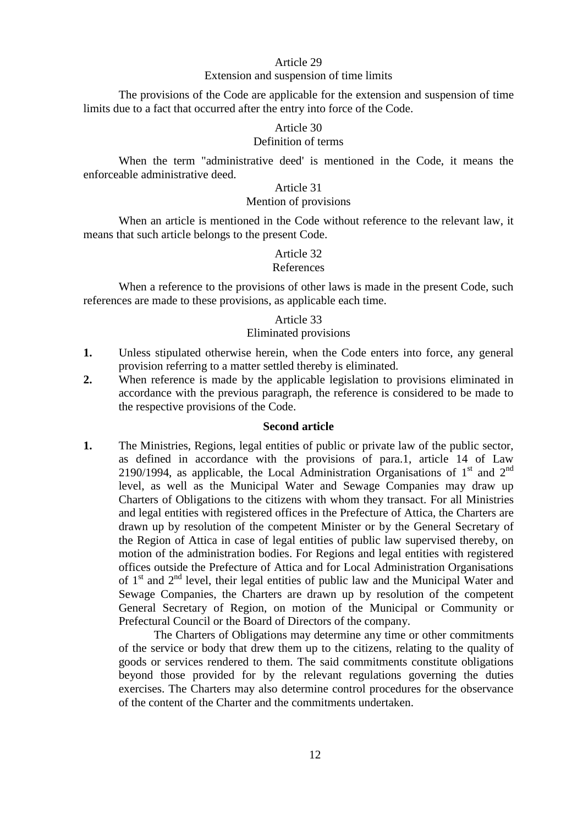#### Extension and suspension of time limits

The provisions of the Code are applicable for the extension and suspension of time limits due to a fact that occurred after the entry into force of the Code.

#### Article 30

### Definition of terms

When the term "administrative deed' is mentioned in the Code, it means the enforceable administrative deed.

# Article 31

### Mention of provisions

When an article is mentioned in the Code without reference to the relevant law, it means that such article belongs to the present Code.

#### Article 32 References

When a reference to the provisions of other laws is made in the present Code, such references are made to these provisions, as applicable each time.

#### Article 33

#### Eliminated provisions

- **1.** Unless stipulated otherwise herein, when the Code enters into force, any general provision referring to a matter settled thereby is eliminated.
- **2.** When reference is made by the applicable legislation to provisions eliminated in accordance with the previous paragraph, the reference is considered to be made to the respective provisions of the Code.

### **Second article**

**1.** The Ministries, Regions, legal entities of public or private law of the public sector, as defined in accordance with the provisions of para.1, article 14 of Law 2190/1994, as applicable, the Local Administration Organisations of  $1<sup>st</sup>$  and  $2<sup>nd</sup>$ level, as well as the Municipal Water and Sewage Companies may draw up Charters of Obligations to the citizens with whom they transact. For all Ministries and legal entities with registered offices in the Prefecture of Attica, the Charters are drawn up by resolution of the competent Minister or by the General Secretary of the Region of Attica in case of legal entities of public law supervised thereby, on motion of the administration bodies. For Regions and legal entities with registered offices outside the Prefecture of Attica and for Local Administration Organisations of  $1<sup>st</sup>$  and  $2<sup>nd</sup>$  level, their legal entities of public law and the Municipal Water and Sewage Companies, the Charters are drawn up by resolution of the competent General Secretary of Region, on motion of the Municipal or Community or Prefectural Council or the Board of Directors of the company.

The Charters of Obligations may determine any time or other commitments of the service or body that drew them up to the citizens, relating to the quality of goods or services rendered to them. The said commitments constitute obligations beyond those provided for by the relevant regulations governing the duties exercises. The Charters may also determine control procedures for the observance of the content of the Charter and the commitments undertaken.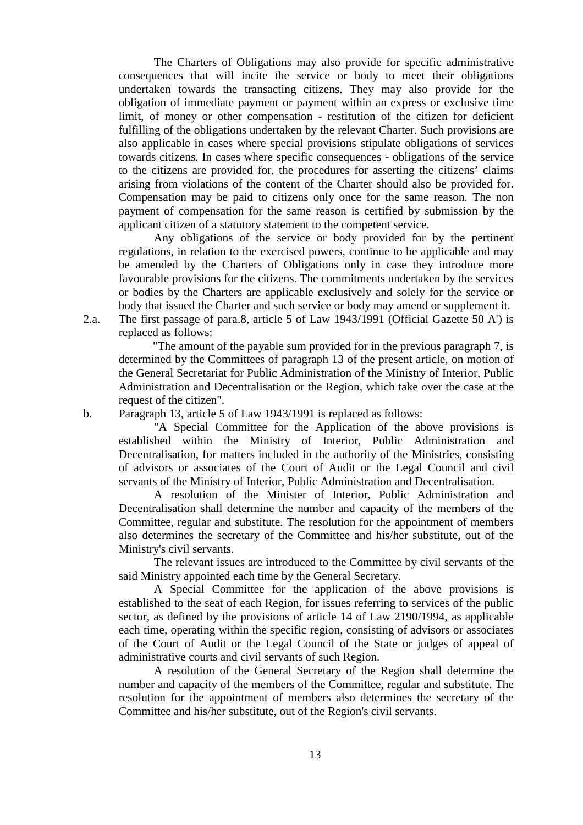The Charters of Obligations may also provide for specific administrative consequences that will incite the service or body to meet their obligations undertaken towards the transacting citizens. They may also provide for the obligation of immediate payment or payment within an express or exclusive time limit, of money or other compensation - restitution of the citizen for deficient fulfilling of the obligations undertaken by the relevant Charter. Such provisions are also applicable in cases where special provisions stipulate obligations of services towards citizens. In cases where specific consequences - obligations of the service to the citizens are provided for, the procedures for asserting the citizens' claims arising from violations of the content of the Charter should also be provided for. Compensation may be paid to citizens only once for the same reason. The non payment of compensation for the same reason is certified by submission by the applicant citizen of a statutory statement to the competent service.

Any obligations of the service or body provided for by the pertinent regulations, in relation to the exercised powers, continue to be applicable and may be amended by the Charters of Obligations only in case they introduce more favourable provisions for the citizens. The commitments undertaken by the services or bodies by the Charters are applicable exclusively and solely for the service or body that issued the Charter and such service or body may amend or supplement it.

2.a. The first passage of para.8, article 5 of Law 1943/1991 (Official Gazette 50 A') is replaced as follows:

"The amount of the payable sum provided for in the previous paragraph 7, is determined by the Committees of paragraph 13 of the present article, on motion of the General Secretariat for Public Administration of the Ministry of Interior, Public Administration and Decentralisation or the Region, which take over the case at the request of the citizen".

b. Paragraph 13, article 5 of Law 1943/1991 is replaced as follows:

"A Special Committee for the Application of the above provisions is established within the Ministry of Interior, Public Administration and Decentralisation, for matters included in the authority of the Ministries, consisting of advisors or associates of the Court of Audit or the Legal Council and civil servants of the Ministry of Interior, Public Administration and Decentralisation.

A resolution of the Minister of Interior, Public Administration and Decentralisation shall determine the number and capacity of the members of the Committee, regular and substitute. The resolution for the appointment of members also determines the secretary of the Committee and his/her substitute, out of the Ministry's civil servants.

The relevant issues are introduced to the Committee by civil servants of the said Ministry appointed each time by the General Secretary.

A Special Committee for the application of the above provisions is established to the seat of each Region, for issues referring to services of the public sector, as defined by the provisions of article 14 of Law 2190/1994, as applicable each time, operating within the specific region, consisting of advisors or associates of the Court of Audit or the Legal Council of the State or judges of appeal of administrative courts and civil servants of such Region.

A resolution of the General Secretary of the Region shall determine the number and capacity of the members of the Committee, regular and substitute. The resolution for the appointment of members also determines the secretary of the Committee and his/her substitute, out of the Region's civil servants.